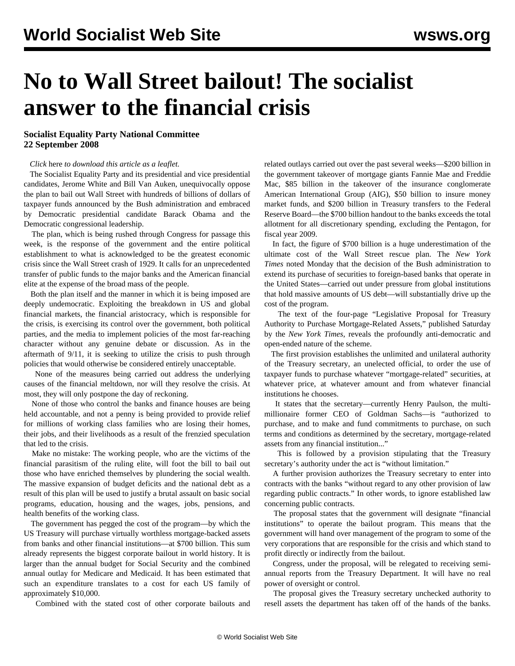## **No to Wall Street bailout! The socialist answer to the financial crisis**

## **Socialist Equality Party National Committee 22 September 2008**

## *Click* here *to download this article as a leaflet.*

 The Socialist Equality Party and its presidential and vice presidential candidates, Jerome White and Bill Van Auken, unequivocally oppose the plan to bail out Wall Street with hundreds of billions of dollars of taxpayer funds announced by the Bush administration and embraced by Democratic presidential candidate Barack Obama and the Democratic congressional leadership.

 The plan, which is being rushed through Congress for passage this week, is the response of the government and the entire political establishment to what is acknowledged to be the greatest economic crisis since the Wall Street crash of 1929. It calls for an unprecedented transfer of public funds to the major banks and the American financial elite at the expense of the broad mass of the people.

 Both the plan itself and the manner in which it is being imposed are deeply undemocratic. Exploiting the breakdown in US and global financial markets, the financial aristocracy, which is responsible for the crisis, is exercising its control over the government, both political parties, and the media to implement policies of the most far-reaching character without any genuine debate or discussion. As in the aftermath of 9/11, it is seeking to utilize the crisis to push through policies that would otherwise be considered entirely unacceptable.

 None of the measures being carried out address the underlying causes of the financial meltdown, nor will they resolve the crisis. At most, they will only postpone the day of reckoning.

 None of those who control the banks and finance houses are being held accountable, and not a penny is being provided to provide relief for millions of working class families who are losing their homes, their jobs, and their livelihoods as a result of the frenzied speculation that led to the crisis.

 Make no mistake: The working people, who are the victims of the financial parasitism of the ruling elite, will foot the bill to bail out those who have enriched themselves by plundering the social wealth. The massive expansion of budget deficits and the national debt as a result of this plan will be used to justify a brutal assault on basic social programs, education, housing and the wages, jobs, pensions, and health benefits of the working class.

 The government has pegged the cost of the program—by which the US Treasury will purchase virtually worthless mortgage-backed assets from banks and other financial institutions—at \$700 billion. This sum already represents the biggest corporate bailout in world history. It is larger than the annual budget for Social Security and the combined annual outlay for Medicare and Medicaid. It has been estimated that such an expenditure translates to a cost for each US family of approximately \$10,000.

Combined with the stated cost of other corporate bailouts and

related outlays carried out over the past several weeks—\$200 billion in the government takeover of mortgage giants Fannie Mae and Freddie Mac, \$85 billion in the takeover of the insurance conglomerate American International Group (AIG), \$50 billion to insure money market funds, and \$200 billion in Treasury transfers to the Federal Reserve Board—the \$700 billion handout to the banks exceeds the total allotment for all discretionary spending, excluding the Pentagon, for fiscal year 2009.

 In fact, the figure of \$700 billion is a huge underestimation of the ultimate cost of the Wall Street rescue plan. The *New York Times* noted Monday that the decision of the Bush administration to extend its purchase of securities to foreign-based banks that operate in the United States—carried out under pressure from global institutions that hold massive amounts of US debt—will substantially drive up the cost of the program.

 The text of the four-page "Legislative Proposal for Treasury Authority to Purchase Mortgage-Related Assets," published Saturday by the *New York Times*, reveals the profoundly anti-democratic and open-ended nature of the scheme.

 The first provision establishes the unlimited and unilateral authority of the Treasury secretary, an unelected official, to order the use of taxpayer funds to purchase whatever "mortgage-related" securities, at whatever price, at whatever amount and from whatever financial institutions he chooses.

 It states that the secretary—currently Henry Paulson, the multimillionaire former CEO of Goldman Sachs—is "authorized to purchase, and to make and fund commitments to purchase, on such terms and conditions as determined by the secretary, mortgage-related assets from any financial institution..."

 This is followed by a provision stipulating that the Treasury secretary's authority under the act is "without limitation."

 A further provision authorizes the Treasury secretary to enter into contracts with the banks "without regard to any other provision of law regarding public contracts." In other words, to ignore established law concerning public contracts.

 The proposal states that the government will designate "financial institutions" to operate the bailout program. This means that the government will hand over management of the program to some of the very corporations that are responsible for the crisis and which stand to profit directly or indirectly from the bailout.

 Congress, under the proposal, will be relegated to receiving semiannual reports from the Treasury Department. It will have no real power of oversight or control.

 The proposal gives the Treasury secretary unchecked authority to resell assets the department has taken off of the hands of the banks.